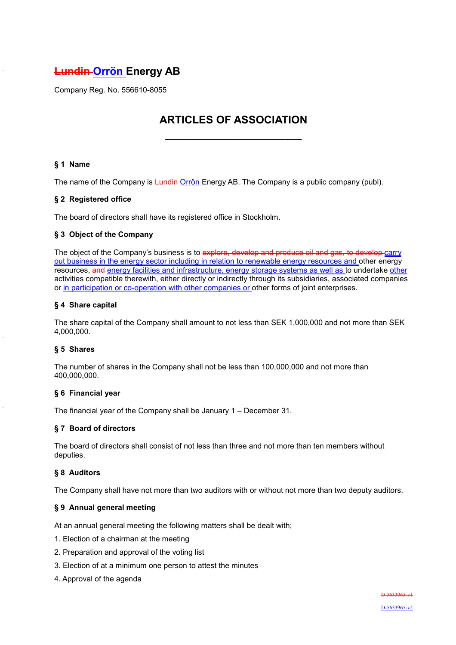# **Lundin Orrön Energy AB**

Company Reg. No. 556610-8055

# **ARTICLES OF ASSOCIATION**

**\_\_\_\_\_\_\_\_\_\_\_\_\_\_\_\_\_\_\_\_\_\_\_\_\_\_\_\_\_\_\_\_**

# **§ 1 Name**

The name of the Company is Lundin Orrön Energy AB. The Company is a public company (publ).

## **§ 2 Registered office**

The board of directors shall have its registered office in Stockholm.

## **§ 3 Object of the Company**

The object of the Company's business is to explore, develop and produce oil and gas, to develop carry out business in the energy sector including in relation to renewable energy resources and other energy resources, and energy facilities and infrastructure, energy storage systems as well as to undertake other activities compatible therewith, either directly or indirectly through its subsidiaries, associated companies or in participation or co-operation with other companies or other forms of joint enterprises.

#### **§ 4 Share capital**

The share capital of the Company shall amount to not less than SEK 1,000,000 and not more than SEK 4,000,000.

#### **§ 5 Shares**

The number of shares in the Company shall not be less than 100,000,000 and not more than 400,000,000.

#### **§ 6 Financial year**

The financial year of the Company shall be January 1 – December 31.

#### **§ 7 Board of directors**

The board of directors shall consist of not less than three and not more than ten members without deputies.

#### **§ 8 Auditors**

The Company shall have not more than two auditors with or without not more than two deputy auditors.

#### **§ 9 Annual general meeting**

At an annual general meeting the following matters shall be dealt with;

- 1. Election of a chairman at the meeting
- 2. Preparation and approval of the voting list
- 3. Election of at a minimum one person to attest the minutes
- 4. Approval of the agenda